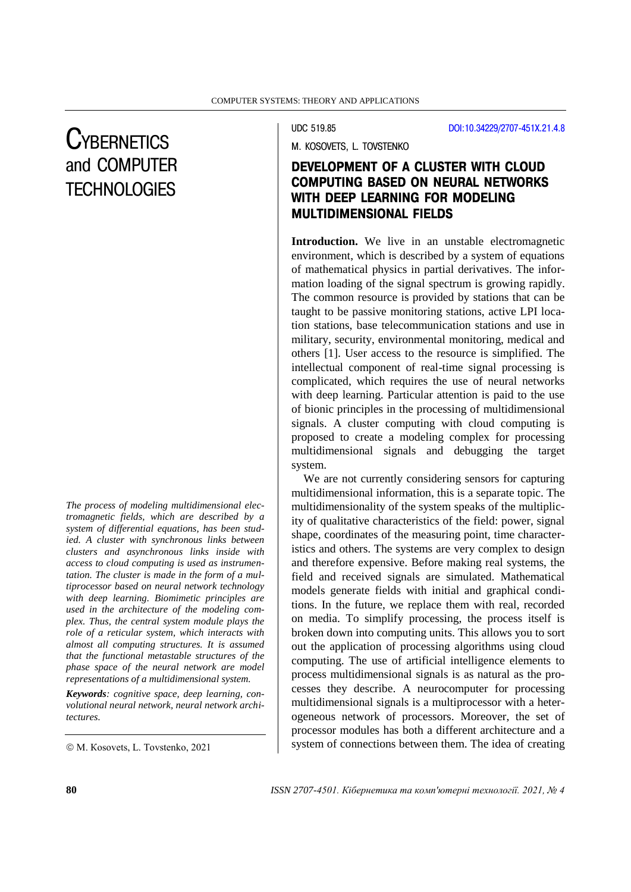# **CYBERNETICS** and COMPUTER **TECHNOLOGIES**

*The process of modeling multidimensional electromagnetic fields, which are described by a system of differential equations, has been studied. A cluster with synchronous links between clusters and asynchronous links inside with access to cloud computing is used as instrumentation. The cluster is made in the form of a multiprocessor based on neural network technology with deep learning. Biomimetic principles are used in the architecture of the modeling complex. Thus, the central system module plays the role of a reticular system, which interacts with almost all computing structures. It is assumed that the functional metastable structures of the phase space of the neural network are model representations of a multidimensional system.*

*Keywords: cognitive space, deep learning, convolutional neural network, neural network architectures.*

UDC 519.85 [DOI:10.34229/2707-451X.21.4.8](https://doi.org/10.34229/2707-451X.21.4.8)

M. КОSOVETS, L. TOVSTENKO

## DEVELOPMENT OF A CLUSTER WITH CLOUD COMPUTING BASED ON NEURAL NETWORKS WITH DEEP LEARNING FOR MODELING MULTIDIMENSIONAL FIELDS

**Introduction.** We live in an unstable electromagnetic environment, which is described by a system of equations of mathematical physics in partial derivatives. The information loading of the signal spectrum is growing rapidly. The common resource is provided by stations that can be taught to be passive monitoring stations, active LPI location stations, base telecommunication stations and use in military, security, environmental monitoring, medical and others [1]. User access to the resource is simplified. The intellectual component of real-time signal processing is complicated, which requires the use of neural networks with deep learning. Particular attention is paid to the use of bionic principles in the processing of multidimensional signals. A cluster computing with cloud computing is proposed to create a modeling complex for processing multidimensional signals and debugging the target system.

We are not currently considering sensors for capturing multidimensional information, this is a separate topic. The multidimensionality of the system speaks of the multiplicity of qualitative characteristics of the field: power, signal shape, coordinates of the measuring point, time characteristics and others. The systems are very complex to design and therefore expensive. Before making real systems, the field and received signals are simulated. Mathematical models generate fields with initial and graphical conditions. In the future, we replace them with real, recorded on media. To simplify processing, the process itself is broken down into computing units. This allows you to sort out the application of processing algorithms using cloud computing. The use of artificial intelligence elements to process multidimensional signals is as natural as the processes they describe. A neurocomputer for processing multidimensional signals is a multiprocessor with a heterogeneous network of processors. Moreover, the set of processor modules has both a different architecture and a system of connections between them. The idea of creating

 $\odot$  M. Kosovets, L. Tovstenko, 2021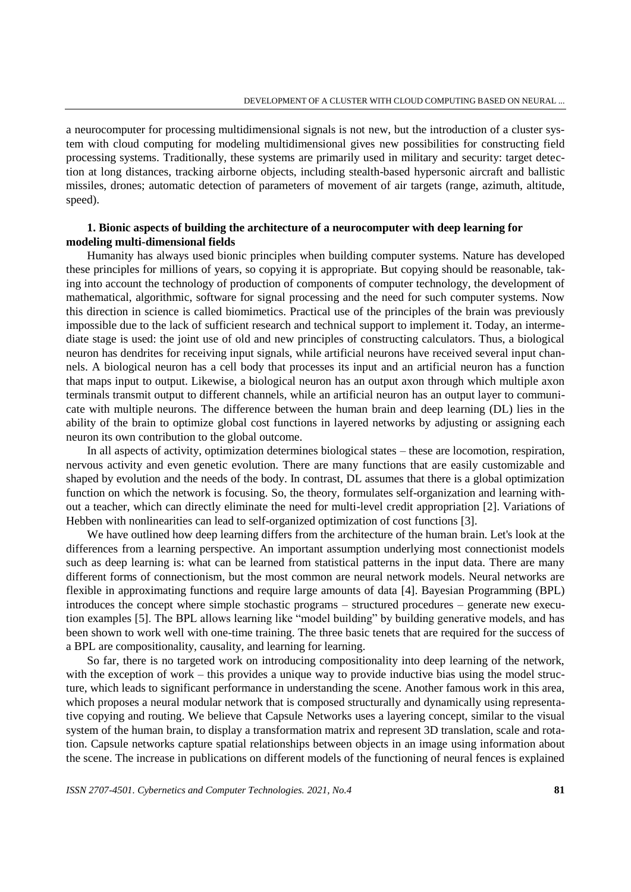a neurocomputer for processing multidimensional signals is not new, but the introduction of a cluster system with cloud computing for modeling multidimensional gives new possibilities for constructing field processing systems. Traditionally, these systems are primarily used in military and security: target detection at long distances, tracking airborne objects, including stealth-based hypersonic aircraft and ballistic missiles, drones; automatic detection of parameters of movement of air targets (range, azimuth, altitude, speed).

### **1. Bionic aspects of building the architecture of a neurocomputer with deep learning for modeling multi-dimensional fields**

Humanity has always used bionic principles when building computer systems. Nature has developed these principles for millions of years, so copying it is appropriate. But copying should be reasonable, taking into account the technology of production of components of computer technology, the development of mathematical, algorithmic, software for signal processing and the need for such computer systems. Now this direction in science is called biomimetics. Practical use of the principles of the brain was previously impossible due to the lack of sufficient research and technical support to implement it. Today, an intermediate stage is used: the joint use of old and new principles of constructing calculators. Thus, a biological neuron has dendrites for receiving input signals, while artificial neurons have received several input channels. A biological neuron has a cell body that processes its input and an artificial neuron has a function that maps input to output. Likewise, a biological neuron has an output axon through which multiple axon terminals transmit output to different channels, while an artificial neuron has an output layer to communicate with multiple neurons. The difference between the human brain and deep learning (DL) lies in the ability of the brain to optimize global cost functions in layered networks by adjusting or assigning each neuron its own contribution to the global outcome.

In all aspects of activity, optimization determines biological states – these are locomotion, respiration, nervous activity and even genetic evolution. There are many functions that are easily customizable and shaped by evolution and the needs of the body. In contrast, DL assumes that there is a global optimization function on which the network is focusing. So, the theory, formulates self-organization and learning without a teacher, which can directly eliminate the need for multi-level credit appropriation [2]. Variations of Hebben with nonlinearities can lead to self-organized optimization of cost functions [3].

We have outlined how deep learning differs from the architecture of the human brain. Let's look at the differences from a learning perspective. An important assumption underlying most connectionist models such as deep learning is: what can be learned from statistical patterns in the input data. There are many different forms of connectionism, but the most common are neural network models. Neural networks are flexible in approximating functions and require large amounts of data [4]. Bayesian Programming (BPL) introduces the concept where simple stochastic programs – structured procedures – generate new execution examples [5]. The BPL allows learning like "model building" by building generative models, and has been shown to work well with one-time training. The three basic tenets that are required for the success of a BPL are compositionality, causality, and learning for learning.

So far, there is no targeted work on introducing compositionality into deep learning of the network, with the exception of work – this provides a unique way to provide inductive bias using the model structure, which leads to significant performance in understanding the scene. Another famous work in this area, which proposes a neural modular network that is composed structurally and dynamically using representative copying and routing. We believe that Capsule Networks uses a layering concept, similar to the visual system of the human brain, to display a transformation matrix and represent 3D translation, scale and rotation. Capsule networks capture spatial relationships between objects in an image using information about the scene. The increase in publications on different models of the functioning of neural fences is explained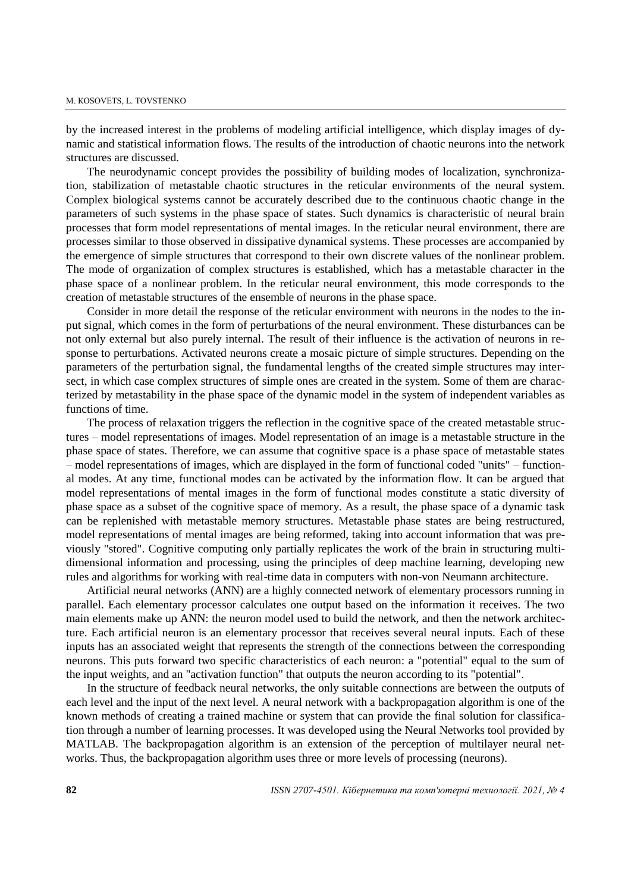by the increased interest in the problems of modeling artificial intelligence, which display images of dynamic and statistical information flows. The results of the introduction of chaotic neurons into the network structures are discussed.

The neurodynamic concept provides the possibility of building modes of localization, synchronization, stabilization of metastable chaotic structures in the reticular environments of the neural system. Complex biological systems cannot be accurately described due to the continuous chaotic change in the parameters of such systems in the phase space of states. Such dynamics is characteristic of neural brain processes that form model representations of mental images. In the reticular neural environment, there are processes similar to those observed in dissipative dynamical systems. These processes are accompanied by the emergence of simple structures that correspond to their own discrete values of the nonlinear problem. The mode of organization of complex structures is established, which has a metastable character in the phase space of a nonlinear problem. In the reticular neural environment, this mode corresponds to the creation of metastable structures of the ensemble of neurons in the phase space.

Consider in more detail the response of the reticular environment with neurons in the nodes to the input signal, which comes in the form of perturbations of the neural environment. These disturbances can be not only external but also purely internal. The result of their influence is the activation of neurons in response to perturbations. Activated neurons create a mosaic picture of simple structures. Depending on the parameters of the perturbation signal, the fundamental lengths of the created simple structures may intersect, in which case complex structures of simple ones are created in the system. Some of them are characterized by metastability in the phase space of the dynamic model in the system of independent variables as functions of time.

The process of relaxation triggers the reflection in the cognitive space of the created metastable structures – model representations of images. Model representation of an image is a metastable structure in the phase space of states. Therefore, we can assume that cognitive space is a phase space of metastable states – model representations of images, which are displayed in the form of functional coded "units" – functional modes. At any time, functional modes can be activated by the information flow. It can be argued that model representations of mental images in the form of functional modes constitute a static diversity of phase space as a subset of the cognitive space of memory. As a result, the phase space of a dynamic task can be replenished with metastable memory structures. Metastable phase states are being restructured, model representations of mental images are being reformed, taking into account information that was previously "stored". Cognitive computing only partially replicates the work of the brain in structuring multidimensional information and processing, using the principles of deep machine learning, developing new rules and algorithms for working with real-time data in computers with non-von Neumann architecture.

Artificial neural networks (ANN) are a highly connected network of elementary processors running in parallel. Each elementary processor calculates one output based on the information it receives. The two main elements make up ANN: the neuron model used to build the network, and then the network architecture. Each artificial neuron is an elementary processor that receives several neural inputs. Each of these inputs has an associated weight that represents the strength of the connections between the corresponding neurons. This puts forward two specific characteristics of each neuron: a "potential" equal to the sum of the input weights, and an "activation function" that outputs the neuron according to its "potential".

In the structure of feedback neural networks, the only suitable connections are between the outputs of each level and the input of the next level. A neural network with a backpropagation algorithm is one of the known methods of creating a trained machine or system that can provide the final solution for classification through a number of learning processes. It was developed using the Neural Networks tool provided by MATLAB. The backpropagation algorithm is an extension of the perception of multilayer neural networks. Thus, the backpropagation algorithm uses three or more levels of processing (neurons).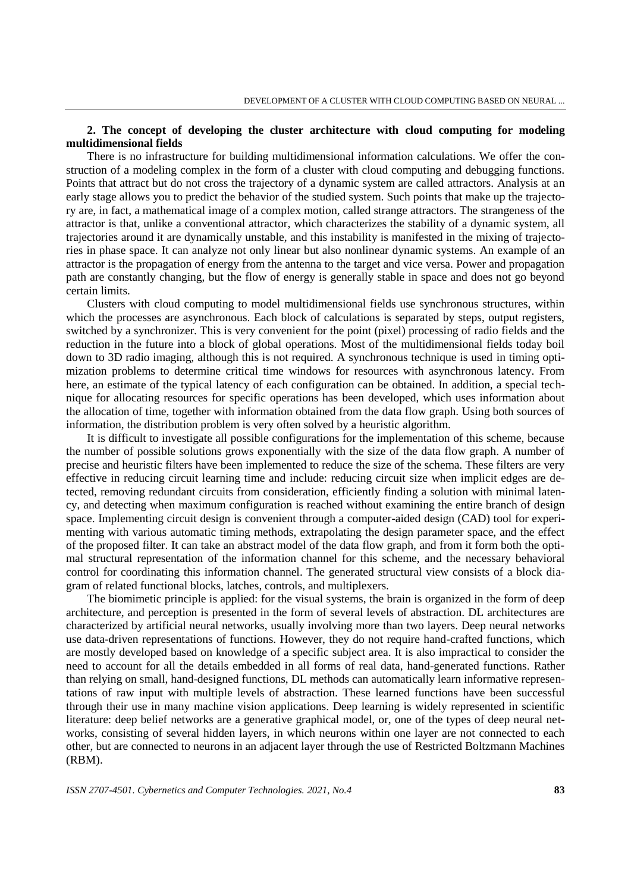## **2. The concept of developing the cluster architecture with cloud computing for modeling multidimensional fields**

There is no infrastructure for building multidimensional information calculations. We offer the construction of a modeling complex in the form of a cluster with cloud computing and debugging functions. Points that attract but do not cross the trajectory of a dynamic system are called attractors. Analysis at an early stage allows you to predict the behavior of the studied system. Such points that make up the trajectory are, in fact, a mathematical image of a complex motion, called strange attractors. The strangeness of the attractor is that, unlike a conventional attractor, which characterizes the stability of a dynamic system, all trajectories around it are dynamically unstable, and this instability is manifested in the mixing of trajectories in phase space. It can analyze not only linear but also nonlinear dynamic systems. An example of an attractor is the propagation of energy from the antenna to the target and vice versa. Power and propagation path are constantly changing, but the flow of energy is generally stable in space and does not go beyond certain limits.

Clusters with cloud computing to model multidimensional fields use synchronous structures, within which the processes are asynchronous. Each block of calculations is separated by steps, output registers, switched by a synchronizer. This is very convenient for the point (pixel) processing of radio fields and the reduction in the future into a block of global operations. Most of the multidimensional fields today boil down to 3D radio imaging, although this is not required. A synchronous technique is used in timing optimization problems to determine critical time windows for resources with asynchronous latency. From here, an estimate of the typical latency of each configuration can be obtained. In addition, a special technique for allocating resources for specific operations has been developed, which uses information about the allocation of time, together with information obtained from the data flow graph. Using both sources of information, the distribution problem is very often solved by a heuristic algorithm.

It is difficult to investigate all possible configurations for the implementation of this scheme, because the number of possible solutions grows exponentially with the size of the data flow graph. A number of precise and heuristic filters have been implemented to reduce the size of the schema. These filters are very effective in reducing circuit learning time and include: reducing circuit size when implicit edges are detected, removing redundant circuits from consideration, efficiently finding a solution with minimal latency, and detecting when maximum configuration is reached without examining the entire branch of design space. Implementing circuit design is convenient through a computer-aided design (CAD) tool for experimenting with various automatic timing methods, extrapolating the design parameter space, and the effect of the proposed filter. It can take an abstract model of the data flow graph, and from it form both the optimal structural representation of the information channel for this scheme, and the necessary behavioral control for coordinating this information channel. The generated structural view consists of a block diagram of related functional blocks, latches, controls, and multiplexers.

The biomimetic principle is applied: for the visual systems, the brain is organized in the form of deep architecture, and perception is presented in the form of several levels of abstraction. DL architectures are characterized by artificial neural networks, usually involving more than two layers. Deep neural networks use data-driven representations of functions. However, they do not require hand-crafted functions, which are mostly developed based on knowledge of a specific subject area. It is also impractical to consider the need to account for all the details embedded in all forms of real data, hand-generated functions. Rather than relying on small, hand-designed functions, DL methods can automatically learn informative representations of raw input with multiple levels of abstraction. These learned functions have been successful through their use in many machine vision applications. Deep learning is widely represented in scientific literature: deep belief networks are a generative graphical model, or, one of the types of deep neural networks, consisting of several hidden layers, in which neurons within one layer are not connected to each other, but are connected to neurons in an adjacent layer through the use of Restricted Boltzmann Machines (RBM).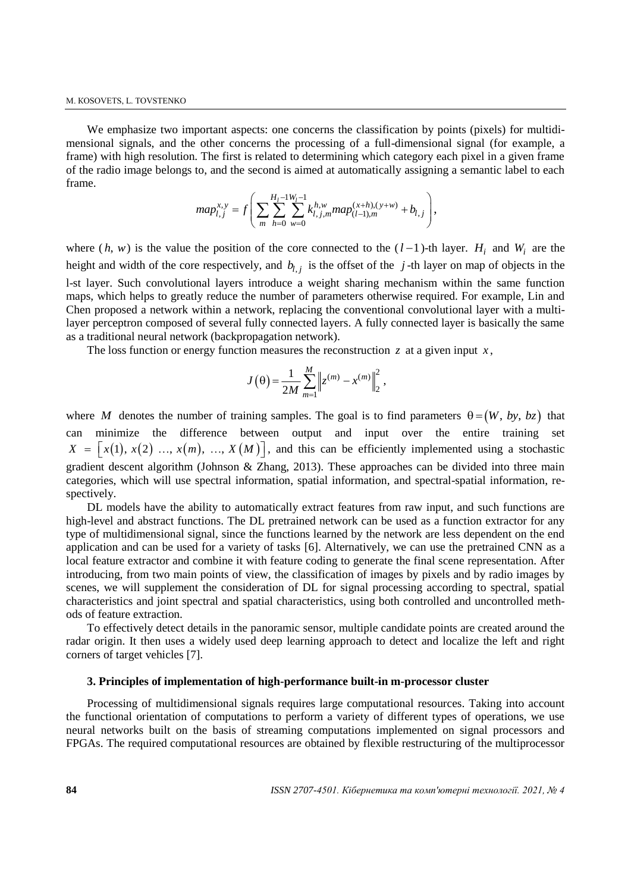We emphasize two important aspects: one concerns the classification by points (pixels) for multidimensional signals, and the other concerns the processing of a full-dimensional signal (for example, a frame) with high resolution. The first is related to determining which category each pixel in a given frame of the radio image belongs to, and the second is aimed at automatically assigning a semantic label to each frame.

$$
map_{l,j}^{x,y} = f\left(\sum_{m}\sum_{h=0}^{H_l-1}\sum_{w=0}^{W_l-1}k_{l,j,m}^{h,w}map_{(l-1),m}^{(x+h),(y+w)} + b_{l,j}\right),\,
$$

where  $(h, w)$  is the value the position of the core connected to the  $(l-1)$ -th layer.  $H_i$  and  $W_i$  are the height and width of the core respectively, and  $b_{l,j}$  is the offset of the  $j$ -th layer on map of objects in the l-st layer. Such convolutional layers introduce a weight sharing mechanism within the same function maps, which helps to greatly reduce the number of parameters otherwise required. For example, Lin and Chen proposed a network within a network, replacing the conventional convolutional layer with a multilayer perceptron composed of several fully connected layers. A fully connected layer is basically the same as a traditional neural network (backpropagation network).

The loss function or energy function measures the reconstruction  $\zeta$  at a given input  $\chi$ ,

$$
J(\theta) = \frac{1}{2M} \sum_{m=1}^{M} \left\| z^{(m)} - x^{(m)} \right\|_{2}^{2},
$$

where M denotes the number of training samples. The goal is to find parameters  $\theta = (W, by, bz)$  that can minimize the difference between output and input over the entire training set  $X = \left[ x(1), x(2), \ldots, x(m), \ldots, X(M) \right]$ , and this can be efficiently implemented using a stochastic gradient descent algorithm (Johnson & Zhang, 2013). These approaches can be divided into three main categories, which will use spectral information, spatial information, and spectral-spatial information, respectively.

DL models have the ability to automatically extract features from raw input, and such functions are high-level and abstract functions. The DL pretrained network can be used as a function extractor for any type of multidimensional signal, since the functions learned by the network are less dependent on the end application and can be used for a variety of tasks [6]. Alternatively, we can use the pretrained CNN as a local feature extractor and combine it with feature coding to generate the final scene representation. After introducing, from two main points of view, the classification of images by pixels and by radio images by scenes, we will supplement the consideration of DL for signal processing according to spectral, spatial characteristics and joint spectral and spatial characteristics, using both controlled and uncontrolled methods of feature extraction.

To effectively detect details in the panoramic sensor, multiple candidate points are created around the radar origin. It then uses a widely used deep learning approach to detect and localize the left and right corners of target vehicles [7].

#### **3. Principles of implementation of high-performance built-in m-processor cluster**

Processing of multidimensional signals requires large computational resources. Taking into account the functional orientation of computations to perform a variety of different types of operations, we use neural networks built on the basis of streaming computations implemented on signal processors and FPGAs. The required computational resources are obtained by flexible restructuring of the multiprocessor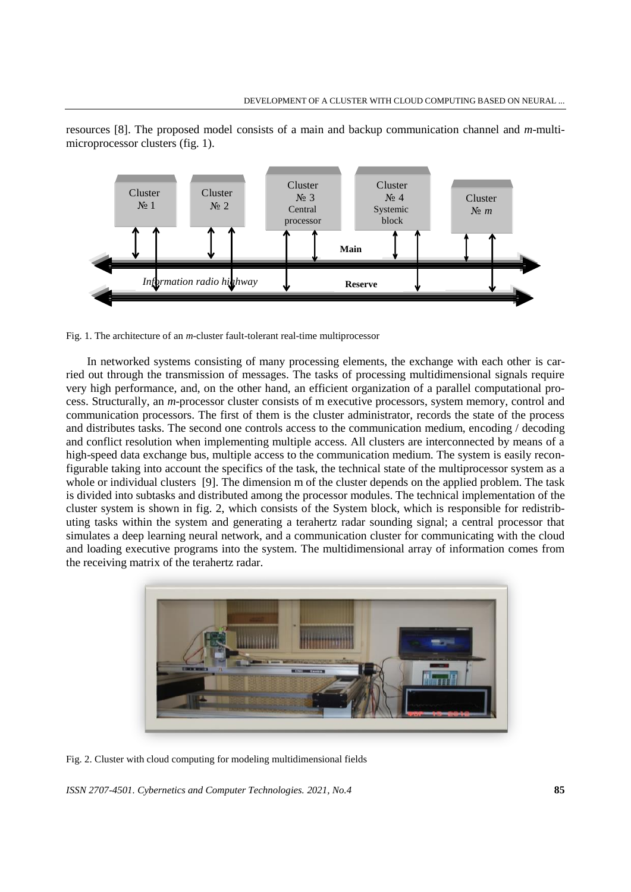

resources [8]. The proposed model consists of a main and backup communication channel and *m*-multimicroprocessor clusters (fig. 1).

Fig. 1. The architecture of an *m*-cluster fault-tolerant real-time multiprocessor

In networked systems consisting of many processing elements, the exchange with each other is carried out through the transmission of messages. The tasks of processing multidimensional signals require very high performance, and, on the other hand, an efficient organization of a parallel computational process. Structurally, an *m*-processor cluster consists of m executive processors, system memory, control and communication processors. The first of them is the cluster administrator, records the state of the process and distributes tasks. The second one controls access to the communication medium, encoding / decoding and conflict resolution when implementing multiple access. All clusters are interconnected by means of a high-speed data exchange bus, multiple access to the communication medium. The system is easily reconfigurable taking into account the specifics of the task, the technical state of the multiprocessor system as a whole or individual clusters [9]. The dimension m of the cluster depends on the applied problem. The task is divided into subtasks and distributed among the processor modules. The technical implementation of the cluster system is shown in fig. 2, which consists of the System block, which is responsible for redistributing tasks within the system and generating a terahertz radar sounding signal; a central processor that simulates a deep learning neural network, and a communication cluster for communicating with the cloud and loading executive programs into the system. The multidimensional array of information comes from the receiving matrix of the terahertz radar.



Fig. 2. Cluster with cloud computing for modeling multidimensional fields

*ISSN 2707-4501. Cybernetics and Computer Technologies. 2021, No.4* **85**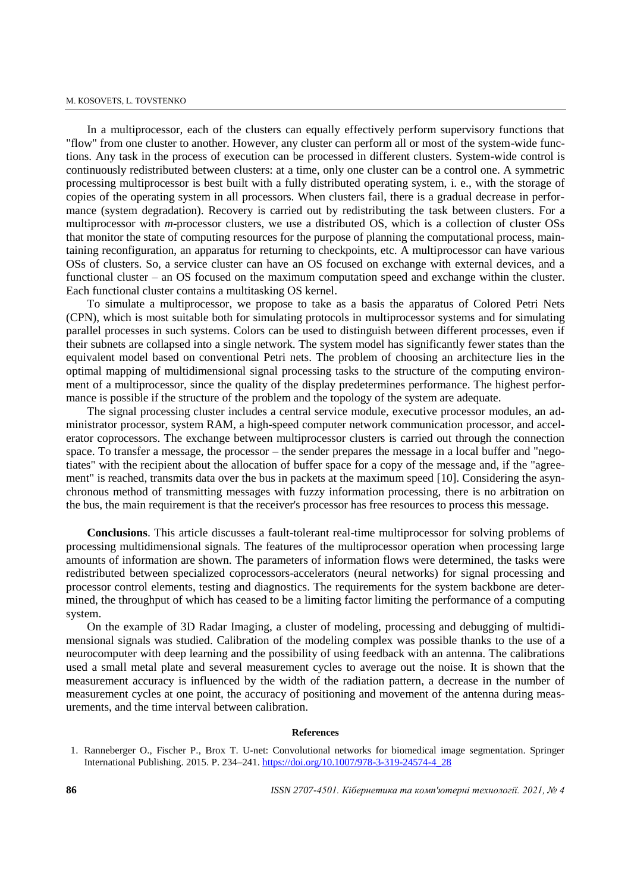In a multiprocessor, each of the clusters can equally effectively perform supervisory functions that "flow" from one cluster to another. However, any cluster can perform all or most of the system-wide functions. Any task in the process of execution can be processed in different clusters. System-wide control is continuously redistributed between clusters: at a time, only one cluster can be a control one. A symmetric processing multiprocessor is best built with a fully distributed operating system, i. e., with the storage of copies of the operating system in all processors. When clusters fail, there is a gradual decrease in performance (system degradation). Recovery is carried out by redistributing the task between clusters. For a multiprocessor with *m*-processor clusters, we use a distributed OS, which is a collection of cluster OSs that monitor the state of computing resources for the purpose of planning the computational process, maintaining reconfiguration, an apparatus for returning to checkpoints, etc. A multiprocessor can have various OSs of clusters. So, a service cluster can have an OS focused on exchange with external devices, and a functional cluster – an OS focused on the maximum computation speed and exchange within the cluster. Each functional cluster contains a multitasking OS kernel.

To simulate a multiprocessor, we propose to take as a basis the apparatus of Colored Petri Nets (CPN), which is most suitable both for simulating protocols in multiprocessor systems and for simulating parallel processes in such systems. Colors can be used to distinguish between different processes, even if their subnets are collapsed into a single network. The system model has significantly fewer states than the equivalent model based on conventional Petri nets. The problem of choosing an architecture lies in the optimal mapping of multidimensional signal processing tasks to the structure of the computing environment of a multiprocessor, since the quality of the display predetermines performance. The highest performance is possible if the structure of the problem and the topology of the system are adequate.

The signal processing cluster includes a central service module, executive processor modules, an administrator processor, system RAM, a high-speed computer network communication processor, and accelerator coprocessors. The exchange between multiprocessor clusters is carried out through the connection space. To transfer a message, the processor – the sender prepares the message in a local buffer and "negotiates" with the recipient about the allocation of buffer space for a copy of the message and, if the "agreement" is reached, transmits data over the bus in packets at the maximum speed [10]. Considering the asynchronous method of transmitting messages with fuzzy information processing, there is no arbitration on the bus, the main requirement is that the receiver's processor has free resources to process this message.

**Conclusions**. This article discusses a fault-tolerant real-time multiprocessor for solving problems of processing multidimensional signals. The features of the multiprocessor operation when processing large amounts of information are shown. The parameters of information flows were determined, the tasks were redistributed between specialized coprocessors-accelerators (neural networks) for signal processing and processor control elements, testing and diagnostics. The requirements for the system backbone are determined, the throughput of which has ceased to be a limiting factor limiting the performance of a computing system.

On the example of 3D Radar Imaging, a cluster of modeling, processing and debugging of multidimensional signals was studied. Calibration of the modeling complex was possible thanks to the use of a neurocomputer with deep learning and the possibility of using feedback with an antenna. The calibrations used a small metal plate and several measurement cycles to average out the noise. It is shown that the measurement accuracy is influenced by the width of the radiation pattern, a decrease in the number of measurement cycles at one point, the accuracy of positioning and movement of the antenna during measurements, and the time interval between calibration.

#### **References**

1. Ranneberger O., Fischer P., Brox T. U-net: Convolutional networks for biomedical image segmentation. Springer International Publishing. 2015. P. 234–241[. https://doi.org/10.1007/978-3-319-24574-4\\_28](https://doi.org/10.1007/978-3-319-24574-4_28)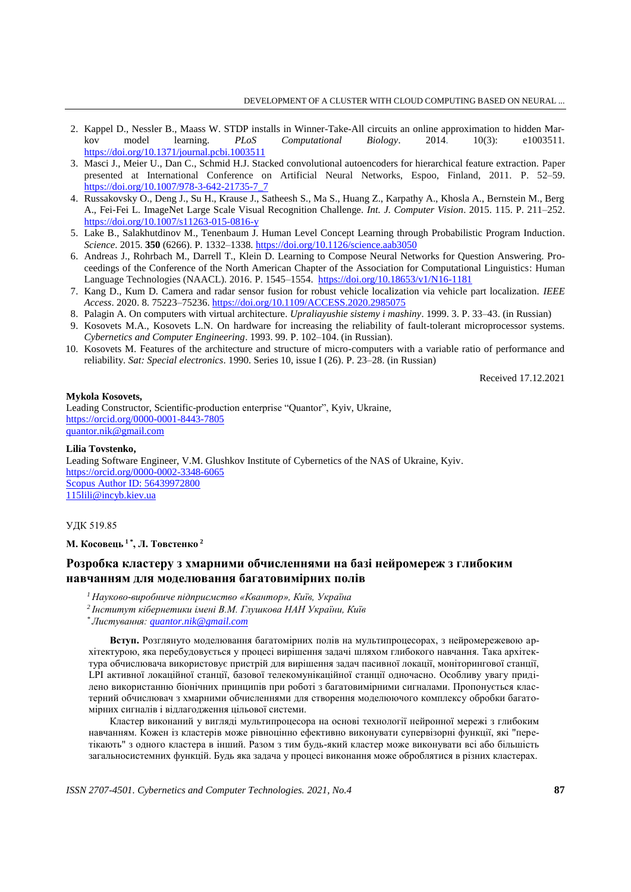- 2. Kappel D., Nessler B., Maass W. STDP installs in Winner-Take-All circuits an online approximation to hidden Mar-<br>kov model learning. *PLoS Computational Biology*. 2014. 10(3): e1003511. kov model learning. *PLoS Computational Biology*. 2014. 10(3): e1003511. <https://doi.org/10.1371/journal.pcbi.1003511>
- 3. Masci J., Meier U., Dan C., Schmid H.J. Stacked convolutional autoencoders for hierarchical feature extraction. Paper presented at International Conference on Artificial Neural Networks, Espoo, Finland, 2011. P. 52–59. [https://doi.org/10.1007/978-3-642-21735-7\\_7](https://doi.org/10.1007/978-3-642-21735-7_7)
- 4. Russakovsky O., Deng J., Su H., Krause J., Satheesh S., Ma S., Huang Z., Karpathy A., Khosla A., Bernstein M., Berg A., Fei-Fei L. ImageNet Large Scale Visual Recognition Challenge. *Int. J. Computer Vision*. 2015. 115. P. 211–252. <https://doi.org/10.1007/s11263-015-0816-y>
- 5. Lake B., Salakhutdinov M., Tenenbaum J. Human Level Concept Learning through Probabilistic Program Induction. *Science*. 2015. **350** (6266). P. 1332–1338. <https://doi.org/10.1126/science.aab3050>
- 6. Andreas J., Rohrbach M., Darrell T., Klein D. Learning to Compose Neural Networks for Question Answering. Proceedings of the Conference of the North American Chapter of the Association for Computational Linguistics: Human Language Technologies (NAACL). 2016. P. 1545–1554.<https://doi.org/10.18653/v1/N16-1181>
- 7. Kang D., Kum D. Camera and radar sensor fusion for robust vehicle localization via vehicle part localization. *IEEE Access*. 2020. 8. 75223–75236. <https://doi.org/10.1109/ACCESS.2020.2985075>
- 8. Palagin A. On computers with virtual architecture. *Upraliayushie sistemy i mashiny*. 1999. 3. P. 33–43. (in Russian)
- 9. Kosovets M.A., Kosovets L.N. On hardware for increasing the reliability of fault-tolerant microprocessor systems. *Cybernetics and Computer Engineering*. 1993. 99. P. 102–104. (in Russian).
- 10. Kosovets M. Features of the architecture and structure of micro-computers with a variable ratio of performance and reliability. *Sat: Special electronics*. 1990. Series 10, issue I (26). P. 23–28. (in Russian)

Received 17.12.2021

#### **Mykola Коsovets,**

Leading Constructor, Scientific-production enterprise "Quantor", Kyiv, Ukraine, <https://orcid.org/0000-0001-8443-7805> [quantor.nik@gmail.com](mailto:quantor.nik@gmail.com)

**Lilia Tovstenko,** Leading Software Engineer, V.M. Glushkov Institute of Cybernetics of the NAS of Ukraine, Kyiv. <https://orcid.org/0000-0002-3348-6065> [Scopus Author ID: 56439972800](http://www.scopus.com/authid/detail.url?authorId=56439972800) [115lili@incyb.kiev.ua](mailto:115lili@incyb.kiev.ua)

#### УДК 519.85

#### **М. Косовець 1 \*, Л. Товстенко <sup>2</sup>**

## **Розробка кластеру з хмарними обчисленнями на базі нейромереж з глибоким навчанням для моделювання багатовимірних полів**

- *<sup>1</sup>Науково-виробниче підприємство «Квантор», Київ, Україна*
- *<sup>2</sup>Інститут кібернетики імені В.М. Глушкова НАН України, Київ*
- *\* Листування: [quantor.nik@gmail.com](mailto:quantor.nik@gmail.com)*

**Вступ.** Розглянуто моделювання багатомірних полів на мультипроцесорах, з нейромережевою архітектурою, яка перебудовується у процесі вирішення задачі шляхом глибокого навчання. Така архітектура обчислювача використовує пристрій для вирішення задач пасивної локації, моніторингової станції, LPI активної локаційної станції, базової телекомунікаційної станції одночасно. Особливу увагу приділено використанню біонічних принципів при роботі з багатовимірними сигналами. Пропонується кластерний обчислювач з хмарними обчисленнями для створення моделюючого комплексу обробки багатомірних сигналів і відлагодження цільової системи.

Кластер виконаний у вигляді мультипроцесора на основі технології нейронної мережі з глибоким навчанням. Кожен із кластерів може рівноцінно ефективно виконувати супервізорні функції, які "перетікають" з одного кластера в інший. Разом з тим будь-який кластер може виконувати всі або більшість загальносистемних функцій. Будь яка задача у процесі виконання може оброблятися в різних кластерах.